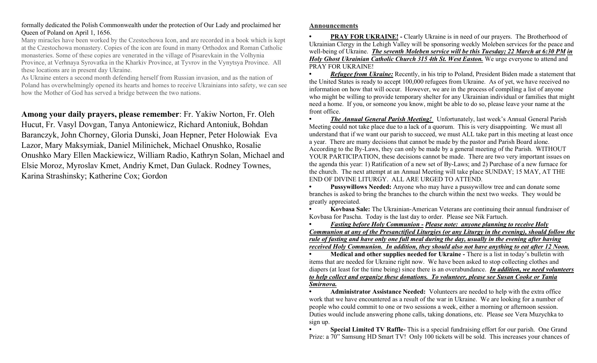## formally dedicated the Polish Commonwealth under the protection of Our Lady and proclaimed her Queen of Poland on April 1, 1656.

Many miracles have been worked by the Czestochowa Icon, and are recorded in a book which is kept at the Czestochowa monastery. Copies of the icon are found in many Orthodox and Roman Catholic monasteries. Some of these copies are venerated in the village of Pisarevkain in the Volhynia Province, at Verhnaya Syrovatka in the Kharkiv Province, at Tyvrov in the Vynytsya Province. All these locations are in present day Ukraine.

As Ukraine enters a second month defending herself from Russian invasion, and as the nation of Poland has overwhelmingly opened its hearts and homes to receive Ukrainians into safety, we can see how the Mother of God has served a bridge between the two nations.

Among your daily prayers, please remember: Fr. Yakiw Norton, Fr. Oleh Hucut, Fr. Vasyl Dovgan, Tanya Antoniewicz, Richard Antoniuk, Bohdan Baranczyk, John Chorney, Gloria Dunski, Joan Hepner, Peter Holowiak Eva Lazor, Mary Maksymiak, Daniel Milinichek, Michael Onushko, Rosalie Onushko Mary Ellen Mackiewicz, William Radio, Kathryn Solan, Michael and Elsie Moroz, Myroslav Kmet, Andriy Kmet, Dan Gulack. Rodney Townes, Karina Strashinsky; Katherine Cox; Gordon

## Announcements

**PRAY FOR UKRAINE!** - Clearly Ukraine is in need of our prayers. The Brotherhood of Ukrainian Clergy in the Lehigh Valley will be sponsoring weekly Moleben services for the peace and well-being of Ukraine. The seventh Moleben service will be this Tuesday; 22 March at 6:30 PM in Holy Ghost Ukrainian Catholic Church 315 4th St. West Easton. We urge everyone to attend and PRAY FOR UKRAINE!

**Refugee from Ukraine:** Recently, in his trip to Poland, President Biden made a statement that the United States is ready to accept 100,000 refugees from Ukraine. As of yet, we have received no information on how that will occur. However, we are in the process of compiling a list of anyone who might be willing to provide temporary shelter for any Ukrainian individual or families that might need a home. If you, or someone you know, might be able to do so, please leave your name at the front office.

**The Annual General Parish Meeting!** Unfortunately, last week's Annual General Parish Meeting could not take place due to a lack of a quorum. This is very disappointing. We must all understand that if we want our parish to succeed, we must ALL take part in this meeting at least once a year. There are many decisions that cannot be made by the pastor and Parish Board alone. According to the By-Laws, they can only be made by a general meeting of the Parish. WITHOUT YOUR PARTICIPATION, these decisions cannot be made. There are two very important issues on the agenda this year: 1) Ratification of a new set of By-Laws; and 2) Purchase of a new furnace for the church. The next attempt at an Annual Meeting will take place SUNDAY; 15 MAY, AT THE END OF DIVINE LITURGY. ALL ARE URGED TO ATTEND.

Pussywillows Needed: Anyone who may have a pussywillow tree and can donate some branches is asked to bring the branches to the church within the next two weeks. They would be greatly appreciated.

• Kovbasa Sale: The Ukrainian-American Veterans are continuing their annual fundraiser of Kovbasa for Pascha. Today is the last day to order. Please see Nik Fartuch.

**Fasting before Holy Communion - Please note: anyone planning to receive Holy** Communion at any of the Presanctified Liturgies (or any Liturgy in the evening), should follow the rule of fasting and have only one full meal during the day, usually in the evening after having received Holy Communion. In addition, they should also not have anything to eat after 12 Noon.

Medical and other supplies needed for Ukraine - There is a list in today's bulletin with items that are needed for Ukraine right now. We have been asked to stop collecting clothes and diapers (at least for the time being) since there is an overabundance. In addition, we need volunteers to help collect and organize these donations. To volunteer, please see Susan Cooke or Tania Smirnova.

• Administrator Assistance Needed: Volunteers are needed to help with the extra office work that we have encountered as a result of the war in Ukraine. We are looking for a number of people who could commit to one or two sessions a week, either a morning or afternoon session. Duties would include answering phone calls, taking donations, etc. Please see Vera Muzychka to sign up.

• Special Limited TV Raffle- This is a special fundraising effort for our parish. One Grand Prize: a 70" Samsung HD Smart TV! Only 100 tickets will be sold. This increases your chances of